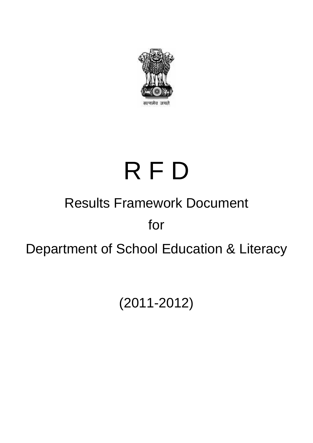

# Results Framework Document for R F D Department of School Education & Literacy

(2011-2012)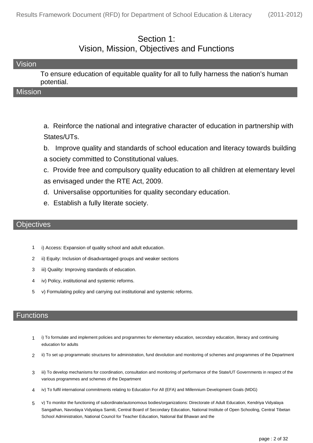#### Section 1: Vision, Mission, Objectives and Functions

| Vision                                                                               |
|--------------------------------------------------------------------------------------|
| To ensure education of equitable quality for all to fully harness the nation's human |
| potential.                                                                           |
| <b>Mission</b>                                                                       |

a. Reinforce the national and integrative character of education in partnership with States/UTs.

b. Improve quality and standards of school education and literacy towards building a society committed to Constitutional values.

c. Provide free and compulsory quality education to all children at elementary level as envisaged under the RTE Act, 2009.

- d. Universalise opportunities for quality secondary education.
- e. Establish a fully literate society.

#### **Objectives**

- 1 i) Access: Expansion of quality school and adult education.
- 2 ii) Equity: Inclusion of disadvantaged groups and weaker sections
- 3 iii) Quality: Improving standards of education.
- 4 iv) Policy, institutional and systemic reforms.
- 5 v) Formulating policy and carrying out institutional and systemic reforms.

#### **Functions**

- i) To formulate and implement policies and programmes for elementary education, secondary education, literacy and continuing education for adults 1
- 2 ii) To set up programmatic structures for administration, fund devolution and monitoring of schemes and programmes of the Department
- iii) To develop mechanisms for coordination, consultation and monitoring of performance of the State/UT Governments in respect of the various programmes and schemes of the Department 3
- 4 iv) To fulfil international commitments relating to Education For All (EFA) and Millennium Development Goals (MDG)
- v) To monitor the functioning of subordinate/autonomous bodies/organizations: Directorate of Adult Education, Kendriya Vidyalaya Sangathan, Navodaya Vidyalaya Samiti, Central Board of Secondary Education, National Institute of Open Schooling, Central Tibetan School Administration, National Council for Teacher Education, National Bal Bhawan and the 5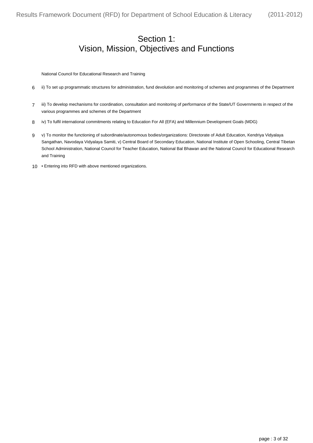#### Section 1: Vision, Mission, Objectives and Functions

National Council for Educational Research and Training

- 6 ii) To set up programmatic structures for administration, fund devolution and monitoring of schemes and programmes of the Department
- iii) To develop mechanisms for coordination, consultation and monitoring of performance of the State/UT Governments in respect of the various programmes and schemes of the Department 7
- 8 iv) To fulfil international commitments relating to Education For All (EFA) and Millennium Development Goals (MDG)
- v) To monitor the functioning of subordinate/autonomous bodies/organizations: Directorate of Adult Education, Kendriya Vidyalaya Sangathan, Navodaya Vidyalaya Samiti, v) Central Board of Secondary Education, National Institute of Open Schooling, Central Tibetan School Administration, National Council for Teacher Education, National Bal Bhawan and the National Council for Educational Research and Training 9
- 10 Entering into RFD with above mentioned organizations.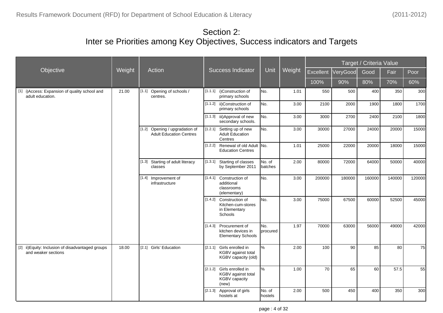|                                                                          |        |                                                                  |         |                                                                                  |                   |        |           |          | Target / Criteria Value |        |        |
|--------------------------------------------------------------------------|--------|------------------------------------------------------------------|---------|----------------------------------------------------------------------------------|-------------------|--------|-----------|----------|-------------------------|--------|--------|
| Objective                                                                | Weight | Action                                                           |         | <b>Success Indicator</b>                                                         | Unit              | Weight | Excellent | VeryGood | Good                    | Fair   | Poor   |
|                                                                          |        |                                                                  |         |                                                                                  |                   |        | 100%      | 90%      | 80%                     | 70%    | 60%    |
| [1] i) Access: Expansion of quality school and<br>adult education.       | 21.00  | Opening of schools /<br>[1.1]<br>centres.                        |         | [1.1.1] i) Construction of<br>primary schools                                    | No.               | 1.01   | 550       | 500      | 400                     | 350    | 300    |
|                                                                          |        |                                                                  |         | [1.1.2] ii) Construction of<br>primary schools                                   | No.               | 3.00   | 2100      | 2000     | 1900                    | 1800   | 1700   |
|                                                                          |        |                                                                  |         | [1.1.3] iii) Approval of new<br>secondary schools.                               | No.               | 3.00   | 3000      | 2700     | 2400                    | 2100   | 1800   |
|                                                                          |        | [1.2] Opening / upgradation of<br><b>Adult Education Centres</b> |         | [1.2.1] Setting up of new<br><b>Adult Education</b><br>Centres                   | No.               | 3.00   | 30000     | 27000    | 24000                   | 20000  | 15000  |
|                                                                          |        |                                                                  |         | [1.2.2] Renewal of old Adult No.<br><b>Education Centres</b>                     |                   | 1.01   | 25000     | 22000    | 20000                   | 18000  | 15000  |
|                                                                          |        | [1.3] Starting of adult literacy<br>classes                      |         | [1.3.1] Starting of classes<br>by September 2011                                 | No. of<br>batches | 2.00   | 80000     | 72000    | 64000                   | 50000  | 40000  |
|                                                                          |        | [1.4] Improvement of<br>infrastructure                           |         | [1.4.1] Construction of<br>additional<br>classrooms<br>(elementary)              | No.               | 3.00   | 200000    | 180000   | 160000                  | 140000 | 120000 |
|                                                                          |        |                                                                  |         | [1.4.2] Construction of<br>Kitchen-cum-stores<br>in Elementary<br>Schools        | No.               | 3.00   | 75000     | 67500    | 60000                   | 52500  | 45000  |
|                                                                          |        |                                                                  |         | [1.4.3] Procurement of<br>kitchen devices in<br><b>Elementary Schools</b>        | No.<br>procured   | 1.97   | 70000     | 63000    | 56000                   | 49000  | 42000  |
| [2] ii) Equity: Inclusion of disadvantaged groups<br>and weaker sections | 18.00  | [2.1] Girls' Education                                           | [2.1.1] | Girls enrolled in<br>KGBV against total<br>KGBV capacity (old)                   | %                 | 2.00   | 100       | 90       | 85                      | 80     | 75     |
|                                                                          |        |                                                                  |         | [2.1.2] Girls enrolled in<br>KGBV against total<br><b>KGBV capacity</b><br>(new) | %                 | 1.00   | 70        | 65       | 60                      | 57.5   | 55     |
|                                                                          |        |                                                                  |         | [2.1.3] Approval of girls<br>hostels at                                          | No. of<br>hostels | 2.00   | 500       | 450      | 400                     | 350    | 300    |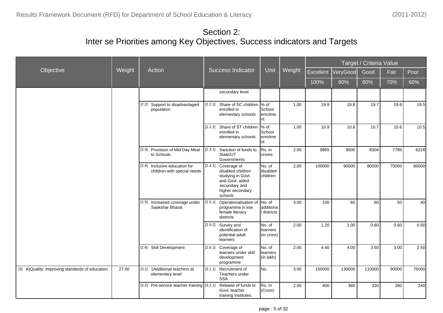|                                                     |        |                                                                 |         |                                                                                                                          |                                    |        |           |          | Target / Criteria Value |       |       |
|-----------------------------------------------------|--------|-----------------------------------------------------------------|---------|--------------------------------------------------------------------------------------------------------------------------|------------------------------------|--------|-----------|----------|-------------------------|-------|-------|
| Objective                                           | Weight | Action                                                          |         | <b>Success Indicator</b>                                                                                                 | Unit                               | Weight | Excellent | VeryGood | Good                    | Fair  | Poor  |
|                                                     |        |                                                                 |         |                                                                                                                          |                                    |        | 100%      | 90%      | 80%                     | 70%   | 60%   |
|                                                     |        |                                                                 |         | secondary level                                                                                                          |                                    |        |           |          |                         |       |       |
|                                                     |        | [2.2] Support to disadvantaged<br>population                    | [2.2.1] | Share of SC children<br>enrolled in<br>elementary schools                                                                | $%$ of<br>School<br>enrolme<br>Int | 1.00   | 19.9      | 19.8     | 19.7                    | 19.6  | 19.5  |
|                                                     |        |                                                                 |         | [2.2.2] Share of ST children<br>enrolled in<br>elementary schools                                                        | $%$ of<br>School<br>enrolme<br>Int | 1.00   | 10.9      | 10.8     | 10.7                    | 10.6  | 10.5  |
|                                                     |        | [2.3] Provision of Mid Day Meal<br>to Schools                   | [2.3.1] | Sanction of funds to<br>State/UT<br>Governments                                                                          | Rs. in<br>crores                   | 2.00   | 9965      | 9500     | 8304                    | 7785  | 6228  |
|                                                     |        | Inclusive education for<br>[2.4]<br>children with special needs | [2.4.1] | Coverage of<br>disabled children<br>studying in Govt.<br>and Govt. aided<br>secondary and<br>higher secondary<br>schools | No. of<br>disabled<br>children     | 2.00   | 100000    | 90000    | 80000                   | 70000 | 60000 |
|                                                     |        | [2.5] Increased coverage under<br>Saakshar Bharat               |         | [2.5.1] Operationalisation of<br>programme in low<br>female literacy<br>districts                                        | No. of<br>additiona<br>l districts | 3.00   | 100       | 80       | 60                      | 50    | 40    |
|                                                     |        |                                                                 |         | [2.5.2] Survey and<br>identification of<br>potential adult<br>learners                                                   | INo. of<br>llearners<br>(in crore) | 2.00   | 1.20      | 1.00     | 0.80                    | 0.60  | 0.50  |
|                                                     |        | [2.6] Skill Development                                         |         | [2.6.1] Coverage of<br>learners under skill<br>development<br>programme                                                  | No. of<br>learners<br>(in lakh)    | 2.00   | 4.40      | 4.00     | 3.50                    | 3.00  | 2.50  |
| [3] iii) Quality: Improving standards of education. | 27.00  | [3.1] 1 Additional teachers at<br>elementary level              | [3.1.1] | Recruitment of<br>Teachers under<br><b>SSA</b>                                                                           | INo.                               | 3.00   | 150000    | 130000   | 110000                  | 90000 | 75000 |
|                                                     |        | [3.2] Pre-service teacher training [3.2.1]                      |         | Release of funds to<br>Govt. teacher<br>training Institutes.                                                             | Rs. In<br>(Crore)                  | 2.00   | 400       | 360      | 320                     | 280   | 240   |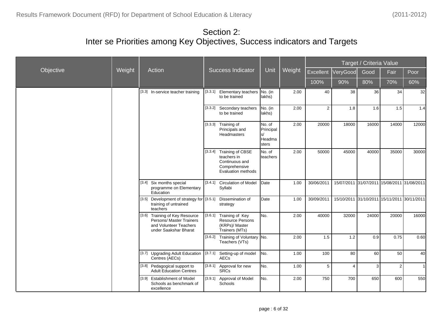|           |        |                                                                                                               |         |                                                                                                         |                                              |        |            |                                             | Target / Criteria Value |                |              |
|-----------|--------|---------------------------------------------------------------------------------------------------------------|---------|---------------------------------------------------------------------------------------------------------|----------------------------------------------|--------|------------|---------------------------------------------|-------------------------|----------------|--------------|
| Objective | Weight | Action                                                                                                        |         | <b>Success Indicator</b>                                                                                | <b>Unit</b>                                  | Weight | Excellent  | VeryGood                                    | Good                    | Fair           | Poor         |
|           |        |                                                                                                               |         |                                                                                                         |                                              |        | 100%       | 90%                                         | 80%                     | 70%            | 60%          |
|           |        | [3.3] In-service teacher training                                                                             |         | [3.3.1] Elementary teachers No. (in<br>to be trained                                                    | lakhs)                                       | 2.00   | 40         | 38                                          | 36                      | 34             | 32           |
|           |        |                                                                                                               |         | [3.3.2] Secondary teachers<br>to be trained                                                             | No. (in<br>lakhs)                            | 2.00   | 2          | 1.8                                         | 1.6                     | 1.5            | 1.4          |
|           |        |                                                                                                               |         | $[3.3.3]$ Training of<br>Principals and<br><b>Headmasters</b>                                           | No. of<br>Principal<br>s/<br>Headma<br>sters | 2.00   | 20000      | 18000                                       | 16000                   | 14000          | 12000        |
|           |        |                                                                                                               |         | [3.3.4] Training of CBSE<br>teachers in<br>Continuous and<br>Comprehensive<br><b>Evaluation methods</b> | No. of<br><b>Iteachers</b>                   | 2.00   | 50000      | 45000                                       | 40000                   | 35000          | 30000        |
|           |        | [3.4] Six months special<br>programme on Elementary<br>Education                                              |         | [3.4.1] Circulation of Model<br>Syllabi                                                                 | Date                                         | 1.00   | 30/06/2011 | 15/07/2011 31/07/2011 15/08/2011 31/08/2011 |                         |                |              |
|           |        | [3.5] Development of strategy for [3.5.1]<br>training of untrained<br>teachers                                |         | Dissemination of<br>strategy                                                                            | Date                                         | 1.00   | 30/09/2011 | 15/10/2011 31/10/2011 15/11/2011 30/11/2011 |                         |                |              |
|           |        | [3.6] Training of Key Resource<br>Persons/ Master Trainers<br>and Volunteer Teachers<br>under Saakshar Bharat |         | [3.6.1] Training of Key<br><b>Resource Persons</b><br>(KRPs)/ Master<br>Trainers (MTs)                  | No.                                          | 2.00   | 40000      | 32000                                       | 24000                   | 20000          | 16000        |
|           |        |                                                                                                               |         | [3.6.2] Training of Voluntary No.<br>Teachers (VTs)                                                     |                                              | 2.00   | 1.5        | 1.2                                         | 0.9                     | 0.75           | 0.60         |
|           |        | <b>Upgrading Adult Education</b><br>$[3.7]$<br>Centres (AECs)                                                 | [3.7.1] | Setting-up of model<br><b>AECs</b>                                                                      | No.                                          | 1.00   | 100        | 80                                          | 60                      | 50             | 40           |
|           |        | [3.8] Pedagogical support to<br><b>Adult Education Centres</b>                                                | [3.8.1] | Approval for new<br><b>SRCs</b>                                                                         | No.                                          | 1.00   | 5          | $\overline{4}$                              | 3                       | $\overline{2}$ | $\mathbf{1}$ |
|           |        | [3.9] Establishment of Model<br>Schools as benchmark of<br>excellence                                         | [3.9.1] | Approval of Model<br>Schools                                                                            | No.                                          | 2.00   | 750        | 700                                         | 650                     | 600            | 550          |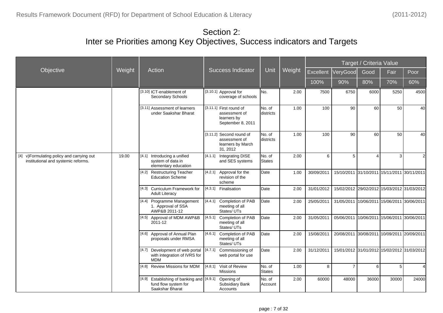|                                                                                   |        |                                                                                      |                                                                              |                      |        |            |                                             | Target / Criteria Value |                       |                |
|-----------------------------------------------------------------------------------|--------|--------------------------------------------------------------------------------------|------------------------------------------------------------------------------|----------------------|--------|------------|---------------------------------------------|-------------------------|-----------------------|----------------|
| Objective                                                                         | Weight | Action                                                                               | <b>Success Indicator</b>                                                     | Unit                 | Weight | Excellent  | VeryGood                                    | Good                    | Fair                  | Poor           |
|                                                                                   |        |                                                                                      |                                                                              |                      |        | 100%       | 90%                                         | 80%                     | 70%                   | 60%            |
|                                                                                   |        | [3.10] ICT-enablement of<br>Secondary Schools                                        | [3.10.1] Approval for<br>coverage of schools                                 | No.                  | 2.00   | 7500       | 6750                                        | 6000                    | 5250                  | 4500           |
|                                                                                   |        | [3.11] Assessment of learners<br>under Saakshar Bharat                               | [3.11.1] First round of<br>assessment of<br>learners by<br>September 8, 2011 | No. of<br>ldistricts | 1.00   | 100        | 90                                          | 60                      | 50                    | 40             |
|                                                                                   |        |                                                                                      | [3.11.2] Second round of<br>assessment of<br>learners by March<br>31, 2012   | No. of<br>districts  | 1.00   | 100        | 90                                          | 60                      | 50                    | 40             |
| [4] v) Formulating policy and carrying out<br>institutional and systemic reforms. | 19.00  | [4.1] Introducing a unified<br>system of data in<br>elementary education             | [4.1.1] Integrating DISE<br>and SES systems                                  | No. of<br>States     | 2.00   | 6          | 5                                           |                         | 3 <sup>1</sup>        | $\overline{2}$ |
|                                                                                   |        | [4.2] Restructuring Teacher<br><b>Education Scheme</b>                               | [4.2.1]<br>Approval for the<br>revision of the<br>scheme                     | Date                 | 1.00   | 30/09/2011 | 15/10/2011 31/10/2011                       |                         | 15/11/2011 30/11/2011 |                |
|                                                                                   |        | <b>Curriculum Framework for</b><br>[4.3]<br><b>Adult Literacy</b>                    | [4.3.1] Finalisation                                                         | Date                 | 2.00   | 31/01/2012 | 15/02/2012 29/02/2012 15/03/2012 31/03/2012 |                         |                       |                |
|                                                                                   |        | [4.4]<br>Programme Management<br>1. Approval of SSA<br>AWP&B 2011-12                 | [4.4.1]<br>Completion of PAB<br>meeting of all<br>States/ UTs                | Date                 | 2.00   | 25/05/2011 | 31/05/2011 10/06/2011 15/06/2011 30/06/2011 |                         |                       |                |
|                                                                                   |        | [4.5] Approval of MDM AWP&B<br>2011-12                                               | [4.5.1] Completion of PAB<br>meeting of all<br>States/UTs                    | Date                 | 2.00   | 31/05/2011 | 05/06/2011 10/06/2011 15/06/2011 30/06/2011 |                         |                       |                |
|                                                                                   |        | [4.6] Approval of Annual Plan<br>proposals under RMSA                                | [4.6.1] Completion of PAB<br>meeting of all<br>States/UTs                    | Date                 | 2.00   | 15/08/2011 | 20/08/2011 30/08/2011                       |                         | 10/09/2011 20/09/2011 |                |
|                                                                                   |        | [4.7] Development of web portal<br>with integration of IVRS for<br><b>MDM</b>        | [4.7.1]<br>Commissioning of<br>web portal for use                            | Date                 | 2.00   | 31/12/2011 | 15/01/2012 31/01/2012 15/02/2012 31/03/2012 |                         |                       |                |
|                                                                                   |        | [4.8] Review Missions for MDM                                                        | [4.8.1] Visit of Review<br><b>Missions</b>                                   | No. of<br>States     | 1.00   | 8          | $\overline{7}$                              | 6                       | 5                     | $\overline{4}$ |
|                                                                                   |        | [4.9] Establishing of banking and [4.9.1]<br>fund flow system for<br>Saakshar Bharat | Opening of<br>Subsidiary Bank<br>Accounts                                    | No. of<br>Account    | 2.00   | 60000      | 48000                                       | 36000                   | 30000                 | 24000          |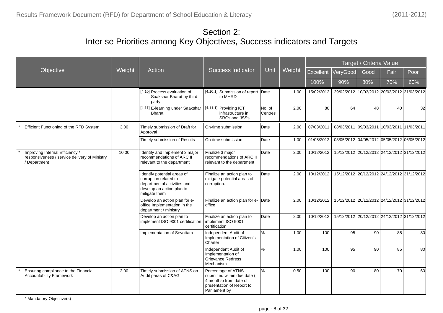|                                                                                                  |        |                                                                                                                                   |                                                                                                                           |                   |        |            |                                             | Target / Criteria Value |                       |      |
|--------------------------------------------------------------------------------------------------|--------|-----------------------------------------------------------------------------------------------------------------------------------|---------------------------------------------------------------------------------------------------------------------------|-------------------|--------|------------|---------------------------------------------|-------------------------|-----------------------|------|
| Objective                                                                                        | Weight | Action                                                                                                                            | <b>Success Indicator</b>                                                                                                  | Unit              | Weight | Excellent  | VeryGood                                    | Good                    | Fair                  | Poor |
|                                                                                                  |        |                                                                                                                                   |                                                                                                                           |                   |        | 100%       | 90%                                         | 80%                     | 70%                   | 60%  |
|                                                                                                  |        | [4.10] Process evaluation of<br>Saakshar Bharat by third<br>party                                                                 | [4.10.1] Submission of report Date<br>to MHRD                                                                             |                   | 1.00   | 15/02/2012 | 29/02/2012 10/03/2012 20/03/2012 31/03/2012 |                         |                       |      |
|                                                                                                  |        | [4.11] E-learning under Saakshar<br><b>Bharat</b>                                                                                 | [4.11.1] Providing ICT<br>infrastructure in<br>SRCs and JSSs                                                              | No. of<br>Centres | 2.00   | 80         | 64                                          | 48                      | 40                    | 32   |
| Efficient Functioning of the RFD System                                                          | 3.00   | Timely submission of Draft for<br>Approval                                                                                        | On-time submission                                                                                                        | <b>D</b> ate      | 2.00   | 07/03/2011 | 08/03/2011 09/03/2011                       |                         | 10/03/2011 11/03/2011 |      |
|                                                                                                  |        | Timely submission of Results                                                                                                      | On-time submission                                                                                                        | Date              | 1.00   | 01/05/2012 | 03/05/2012 04/05/2012 05/05/2012 06/05/2012 |                         |                       |      |
| Improving Internal Efficiency /<br>responsiveness / service delivery of Ministry<br>/ Department | 10.00  | Identify and Implement 3 major<br>recommendations of ARC II<br>relevant to the department                                         | Finalize 3 major<br>recommendations of ARC II<br>relevant to the department                                               | Date              | 2.00   | 10/12/2012 | 15/12/2012 20/12/2012 24/12/2012 31/12/2012 |                         |                       |      |
|                                                                                                  |        | Identify potential areas of<br>corruption related to<br>departmental activities and<br>develop an action plan to<br>mitigate them | Finalize an action plan to<br>mitigate potential areas of<br>corruption.                                                  | Date              | 2.00   | 10/12/2012 | 15/12/2012 20/12/2012 24/12/2012 31/12/2012 |                         |                       |      |
|                                                                                                  |        | Develop an action plan for e-<br>office Implementation in the<br>department / ministry                                            | Finalize an action plan for e- Date<br>office                                                                             |                   | 2.00   | 10/12/2012 | 15/12/2012 20/12/2012 24/12/2012 31/12/2012 |                         |                       |      |
|                                                                                                  |        | Develop an action plan to<br>implement ISO 9001 certification                                                                     | Finalize an action plan to<br>implement ISO 9001<br>certification                                                         | Date              | 2.00   | 10/12/2012 | 15/12/2012 20/12/2012 24/12/2012 31/12/2012 |                         |                       |      |
|                                                                                                  |        | Implementation of Sevottam                                                                                                        | Independent Audit of<br>Implementation of Citizen's<br>Charter                                                            | %                 | 1.00   | 100        | 95                                          | 90                      | 85                    | 80   |
|                                                                                                  |        |                                                                                                                                   | Independent Audit of<br>Implementation of<br><b>Grievance Redress</b><br>Mechanism                                        | %                 | 1.00   | 100        | 95                                          | 90                      | 85                    | 80   |
| Ensuring compliance to the Financial<br><b>Accountability Framework</b>                          | 2.00   | Timely submission of ATNS on<br>Audit paras of C&AG                                                                               | Percentage of ATNS<br>submitted within due date (<br>4 months) from date of<br>presentation of Report to<br>Parliament by | %                 | 0.50   | 100        | 90                                          | 80                      | 70                    | 60   |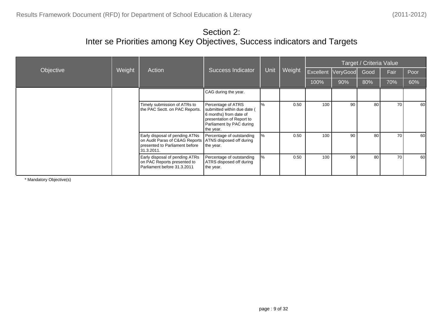|           |        |                                                                                                                  |                                                                                                                                                   |      |        | Target / Criteria Value |                    |      |      |      |  |
|-----------|--------|------------------------------------------------------------------------------------------------------------------|---------------------------------------------------------------------------------------------------------------------------------------------------|------|--------|-------------------------|--------------------|------|------|------|--|
| Objective | Weight | Action                                                                                                           | <b>Success Indicator</b>                                                                                                                          | Unit | Weight |                         | Excellent VeryGood | Good | Fair | Poor |  |
|           |        |                                                                                                                  |                                                                                                                                                   |      |        | 100%                    | 90%                | 80%  | 70%  | 60%  |  |
|           |        |                                                                                                                  | CAG during the year.                                                                                                                              |      |        |                         |                    |      |      |      |  |
|           |        | Timely submission of ATRs to<br>the PAC Sectt. on PAC Reports.                                                   | Percentage of ATRS<br>submitted within due date (<br>6 months) from date of<br>presentation of Report to<br>Parliament by PAC during<br>the year. | %    | 0.50   | 100                     | 90                 | 80   | 70   | 60   |  |
|           |        | Early disposal of pending ATNs<br>on Audit Paras of C&AG Reports<br>presented to Parliament before<br>31.3.2011. | Percentage of outstanding<br>ATNS disposed off during<br>the year.                                                                                | ℅    | 0.50   | 100                     | 90                 | 80   | 70   | 60   |  |
|           |        | Early disposal of pending ATRs<br>on PAC Reports presented to<br>Parliament before 31.3.2011                     | Percentage of outstanding<br>ATRS disposed off during<br>the year.                                                                                | ℅    | 0.50   | 100                     | 90                 | 80   | 70   | 60   |  |

\* Mandatory Objective(s)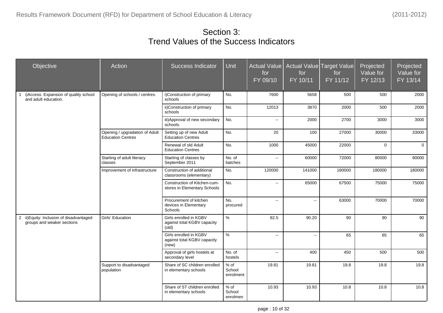## Section 3: Trend Values of the Success Indicators

| Objective                                                              | Action                                                     | <b>Success Indicator</b>                                       | Unit                          | <b>Actual Value</b><br>for<br>FY 09/10 | for<br>FY 10/11          | <b>Actual Value Target Value</b><br>for<br>FY 11/12 | Projected<br>Value for<br>FY 12/13 | Projected<br>Value for<br>FY 13/14 |
|------------------------------------------------------------------------|------------------------------------------------------------|----------------------------------------------------------------|-------------------------------|----------------------------------------|--------------------------|-----------------------------------------------------|------------------------------------|------------------------------------|
| i) Access: Expansion of quality school<br>1<br>and adult education.    | Opening of schools / centres.                              | i) Construction of primary<br>schools                          | No.                           | 7600                                   | 5658                     | 500                                                 | 500                                | 2000                               |
|                                                                        |                                                            | ii) Construction of primary<br>schools                         | No.                           | 12013                                  | 3870                     | 2000                                                | 500                                | 2000                               |
|                                                                        |                                                            | iii) Approval of new secondary<br>schools.                     | No.                           | $\overline{\phantom{a}}$               | 2000                     | 2700                                                | 3000                               | 3000                               |
|                                                                        | Opening / upgradation of Adult<br><b>Education Centres</b> | Setting up of new Adult<br><b>Education Centres</b>            | No.                           | 20                                     | 100                      | 27000                                               | 30000                              | 33000                              |
|                                                                        |                                                            | Renewal of old Adult<br><b>Education Centres</b>               | No.                           | 1000                                   | 45000                    | 22000                                               | $\mathbf{0}$                       | $\mathbf{0}$                       |
|                                                                        | Starting of adult literacy<br>classes                      | Starting of classes by<br>September 2011                       | No. of<br>batches             | Ξ.                                     | 60000                    | 72000                                               | 80000                              | 90000                              |
|                                                                        | Improvement of infrastructure                              | Construction of additional<br>classrooms (elementary)          | No.                           | 120000                                 | 141000                   | 180000                                              | 180000                             | 180000                             |
|                                                                        |                                                            | Construction of Kitchen-cum-<br>stores in Elementary Schools   | No.                           | $\overline{\phantom{a}}$               | 65000                    | 67500                                               | 75000                              | 75000                              |
|                                                                        |                                                            | Procurement of kitchen<br>devices in Elementary<br>Schools     | No.<br>procured               | $\overline{\phantom{a}}$               | Ξ.                       | 63000                                               | 70000                              | 70000                              |
| 2 ii) Equity: Inclusion of disadvantaged<br>groups and weaker sections | Girls' Education                                           | Girls enrolled in KGBV<br>against total KGBV capacity<br>(old) | $\frac{9}{6}$                 | 82.5                                   | 90.20                    | 90                                                  | 90                                 | 90                                 |
|                                                                        |                                                            | Girls enrolled in KGBV<br>against total KGBV capacity<br>(new) | $\frac{9}{6}$                 | $\mathbb{L}^{\mathbb{L}}$              | $\overline{\phantom{a}}$ | 65                                                  | 65                                 | 65                                 |
|                                                                        |                                                            | Approval of girls hostels at<br>secondary level                | No. of<br>hostels             | $\overline{a}$                         | 400                      | 450                                                 | 500                                | 500                                |
|                                                                        | Support to disadvantaged<br>population                     | Share of SC children enrolled<br>in elementary schools         | $%$ of<br>School<br>enrolment | 19.81                                  | 19.81                    | 19.8                                                | 19.8                               | 19.8                               |
|                                                                        |                                                            | Share of ST children enrolled<br>in elementary schools         | $%$ of<br>School<br>enrolmen  | 10.93                                  | 10.93                    | 10.8                                                | 10.8                               | 10.8                               |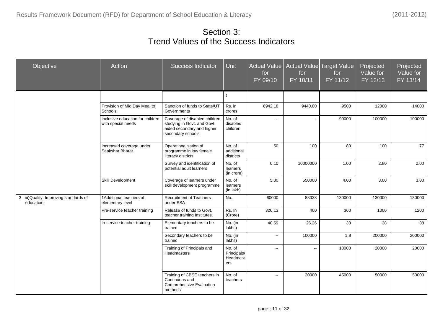Section 3: Trend Values of the Success Indicators

| Objective                                            | Action                                                 | <b>Success Indicator</b>                                                                                        | <b>Unit</b>                              | <b>Actual Value</b><br>for<br>FY 09/10 | for<br>FY 10/11 | Actual Value Target Value<br>for<br>FY 11/12 | Projected<br>Value for<br>FY 12/13 | Projected<br>Value for<br>FY 13/14 |
|------------------------------------------------------|--------------------------------------------------------|-----------------------------------------------------------------------------------------------------------------|------------------------------------------|----------------------------------------|-----------------|----------------------------------------------|------------------------------------|------------------------------------|
|                                                      |                                                        |                                                                                                                 | $\ddot{\phantom{1}}$                     |                                        |                 |                                              |                                    |                                    |
|                                                      | Provision of Mid Day Meal to<br>Schools                | Sanction of funds to State/UT<br>Governments                                                                    | Rs. in<br>crores                         | 6942.18                                | 9440.00         | 9500                                         | 12000                              | 14000                              |
|                                                      | Inclusive education for children<br>with special needs | Coverage of disabled children<br>studying in Govt. and Govt.<br>aided secondary and higher<br>secondary schools | No. of<br>disabled<br>children           | Ξ.                                     | Ξ.              | 90000                                        | 100000                             | 100000                             |
|                                                      | Increased coverage under<br>Saakshar Bharat            | Operationalisation of<br>programme in low female<br>literacy districts                                          | No. of<br>additional<br>districts        | 50                                     | 100             | 80                                           | 100                                | 77                                 |
|                                                      |                                                        | Survey and identification of<br>potential adult learners                                                        | No. of<br>learners<br>(in crore)         | 0.10                                   | 10000000        | 1.00                                         | 2.80                               | 2.00                               |
|                                                      | Skill Development                                      | Coverage of learners under<br>skill development programme                                                       | No. of<br>learners<br>(in lakh)          | 5.00                                   | 550000          | 4.00                                         | 3.00                               | 3.00                               |
| 3 iii) Quality: Improving standards of<br>education. | 1 Additional teachers at<br>elementary level           | <b>Recruitment of Teachers</b><br>under SSA                                                                     | No.                                      | 60000                                  | 83038           | 130000                                       | 130000                             | 130000                             |
|                                                      | Pre-service teacher training                           | Release of funds to Govt.<br>teacher training Institutes.                                                       | Rs. In<br>(Crore)                        | 326.13                                 | 400             | 360                                          | 1000                               | 1200                               |
|                                                      | In-service teacher training                            | Elementary teachers to be<br>trained                                                                            | No. (in<br>lakhs)                        | 40.59                                  | 26.26           | 38                                           | 38                                 | 38                                 |
|                                                      |                                                        | Secondary teachers to be<br>trained                                                                             | No. (in<br>lakhs)                        | --                                     | 100000          | 1.8                                          | 200000                             | 200000                             |
|                                                      |                                                        | Training of Principals and<br>Headmasters                                                                       | No. of<br>Principals/<br>Headmast<br>ers | $\overline{\phantom{a}}$               | Ξ.              | 18000                                        | 20000                              | 20000                              |
|                                                      |                                                        | Training of CBSE teachers in<br>Continuous and<br>Comprehensive Evaluation<br>methods                           | No. of<br>teachers                       | $\overline{a}$                         | 20000           | 45000                                        | 50000                              | 50000                              |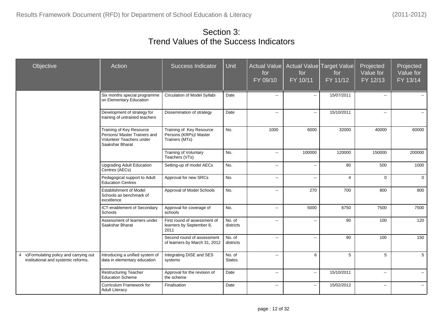### Section 3: Trend Values of the Success Indicators

| Objective                                                                       | Action                                                                                                  | <b>Success Indicator</b>                                             | Unit                    | <b>Actual Value</b><br>for<br>FY 09/10 | for<br>FY 10/11          | Actual Value Target Value<br>for<br>FY 11/12 | Projected<br>Value for<br>FY 12/13 | Projected<br>Value for<br>FY 13/14 |
|---------------------------------------------------------------------------------|---------------------------------------------------------------------------------------------------------|----------------------------------------------------------------------|-------------------------|----------------------------------------|--------------------------|----------------------------------------------|------------------------------------|------------------------------------|
|                                                                                 | Six months special programme<br>on Elementary Education                                                 | Circulation of Model Syllabi                                         | Date                    | $\overline{\phantom{a}}$               | Ξ.                       | 15/07/2011                                   | --                                 |                                    |
|                                                                                 | Development of strategy for<br>training of untrained teachers                                           | Dissemination of strategy                                            | Date                    | $\overline{\phantom{a}}$               | $\ddotsc$                | 15/10/2011                                   | $\overline{a}$                     |                                    |
|                                                                                 | Training of Key Resource<br>Persons/ Master Trainers and<br>Volunteer Teachers under<br>Saakshar Bharat | Training of Key Resource<br>Persons (KRPs)/ Master<br>Trainers (MTs) | No.                     | 1000                                   | 6000                     | 32000                                        | 40000                              | 60000                              |
|                                                                                 |                                                                                                         | Training of Voluntary<br>Teachers (VTs)                              | No.                     | $\sim$                                 | 100000                   | 120000                                       | 150000                             | 200000                             |
|                                                                                 | <b>Upgrading Adult Education</b><br>Centres (AECs)                                                      | Setting-up of model AECs                                             | No.                     | $\overline{a}$                         | $\overline{a}$           | 80                                           | 500                                | 1000                               |
|                                                                                 | Pedagogical support to Adult<br><b>Education Centres</b>                                                | Approval for new SRCs                                                | No.                     | $\overline{a}$                         | $\overline{a}$           | 4                                            | $\Omega$                           | $\mathbf{0}$                       |
|                                                                                 | <b>Establishment of Model</b><br>Schools as benchmark of<br>excellence                                  | Approval of Model Schools                                            | No.                     | $\overline{\phantom{a}}$               | 270                      | 700                                          | 800                                | 800                                |
|                                                                                 | ICT-enablement of Secondary<br>Schools                                                                  | Approval for coverage of<br>schools                                  | No.                     | $\mathbf{L}$                           | 5000                     | 6750                                         | 7500                               | 7500                               |
|                                                                                 | Assessment of learners under<br>Saakshar Bharat                                                         | First round of assessment of<br>learners by September 8,<br>2011     | No. of<br>districts     | $\overline{a}$                         | Ξ.                       | 90                                           | 100                                | 120                                |
|                                                                                 |                                                                                                         | Second round of assessment<br>of learners by March 31, 2012          | No. of<br>districts     | $\overline{\phantom{a}}$               | Ξ.                       | 90                                           | 100                                | 150                                |
| 4 v) Formulating policy and carrying out<br>institutional and systemic reforms. | Introducing a unified system of<br>data in elementary education                                         | Integrating DISE and SES<br>systems                                  | No. of<br><b>States</b> | $\overline{a}$                         | 6                        | 5                                            | 5                                  | 5                                  |
|                                                                                 | <b>Restructuring Teacher</b><br><b>Education Scheme</b>                                                 | Approval for the revision of<br>the scheme                           | Date                    | $\overline{\phantom{a}}$               | $\overline{\phantom{a}}$ | 15/10/2011                                   | щ.                                 | $\overline{\phantom{a}}$           |
|                                                                                 | Curriculum Framework for<br>Adult Literacy                                                              | Finalisation                                                         | Date                    | $\overline{\phantom{a}}$               | Ξ.                       | 15/02/2012                                   | --                                 |                                    |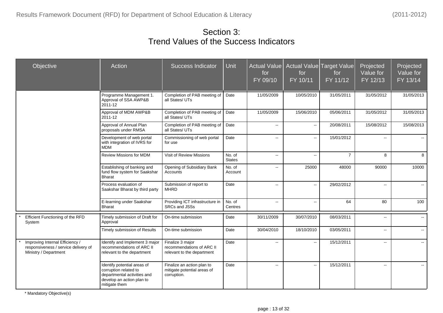#### Section 3: Trend Values of the Success Indicators

| Objective                                                                                        | Action                                                                                                                            | <b>Success Indicator</b>                                                    | <b>Unit</b>             | <b>Actual Value</b><br>for<br>FY 09/10 | Actual Value<br>for<br>FY 10/11 | <b>Target Value</b><br>for<br>FY 11/12 | Projected<br>Value for<br>FY 12/13 | Projected<br>Value for<br>FY 13/14 |
|--------------------------------------------------------------------------------------------------|-----------------------------------------------------------------------------------------------------------------------------------|-----------------------------------------------------------------------------|-------------------------|----------------------------------------|---------------------------------|----------------------------------------|------------------------------------|------------------------------------|
|                                                                                                  | Programme Management 1.<br>Approval of SSA AWP&B<br>$2011 - 12$                                                                   | Completion of PAB meeting of   Date<br>all States/ UTs                      |                         | 11/05/2009                             | 10/05/2010                      | 31/05/2011                             | 31/05/2012                         | 31/05/2013                         |
|                                                                                                  | Approval of MDM AWP&B<br>2011-12                                                                                                  | Completion of PAB meeting of<br>all States/ UTs                             | Date                    | 11/05/2009                             | 15/06/2010                      | 05/06/2011                             | 31/05/2012                         | 31/05/2013                         |
|                                                                                                  | Approval of Annual Plan<br>proposals under RMSA                                                                                   | Completion of PAB meeting of<br>all States/ UTs                             | Date                    | $\overline{\phantom{a}}$               | $\sim$                          | 20/08/2011                             | 15/08/2012                         | 15/08/2013                         |
|                                                                                                  | Development of web portal<br>with integration of IVRS for<br><b>MDM</b>                                                           | Commissioning of web portal<br>for use                                      | Date                    | $\overline{\phantom{a}}$               | $\mathbb{L}^{\mathbb{L}}$       | 15/01/2012                             | $\overline{a}$                     | $\mathbf{u}$                       |
|                                                                                                  | Review Missions for MDM                                                                                                           | Visit of Review Missions                                                    | No. of<br><b>States</b> | $\sim$                                 | Ξ.                              | $\overline{7}$                         | 8                                  | 8                                  |
|                                                                                                  | Establishing of banking and<br>fund flow system for Saakshar<br><b>Bharat</b>                                                     | Opening of Subsidiary Bank<br>Accounts                                      | No. of<br>Account       | $\sim$                                 | 25000                           | 48000                                  | 90000                              | 10000                              |
|                                                                                                  | Process evaluation of<br>Saakshar Bharat by third party                                                                           | Submission of report to<br><b>MHRD</b>                                      | Date                    | $\overline{\phantom{a}}$               | $\sim$                          | 29/02/2012                             | $\mathbf{u}$                       | $\sim$                             |
|                                                                                                  | E-learning under Saakshar<br><b>Bharat</b>                                                                                        | Providing ICT infrastructure in<br>SRCs and JSSs                            | No. of<br>Centres       | $\overline{\phantom{a}}$               | Ξ.                              | 64                                     | 80                                 | 100                                |
| Efficient Functioning of the RFD<br>System                                                       | Timely submission of Draft for<br>Approval                                                                                        | On-time submission                                                          | Date                    | 30/11/2009                             | 30/07/2010                      | 08/03/2011                             | u.                                 | $\mathbf{u}$                       |
|                                                                                                  | Timely submission of Results                                                                                                      | On-time submission                                                          | Date                    | 30/04/2010                             | 18/10/2010                      | 03/05/2011                             | $\overline{a}$                     | $\mathbf{u}$                       |
| Improving Internal Efficiency /<br>responsiveness / service delivery of<br>Ministry / Department | Identify and Implement 3 major<br>recommendations of ARC II<br>relevant to the department                                         | Finalize 3 major<br>recommendations of ARC II<br>relevant to the department | Date                    | --                                     | Ξ.                              | 15/12/2011                             | --                                 | $\sim$                             |
|                                                                                                  | Identify potential areas of<br>corruption related to<br>departmental activities and<br>develop an action plan to<br>mitigate them | Finalize an action plan to<br>mitigate potential areas of<br>corruption.    | Date                    | $\overline{\phantom{a}}$               | $\sim$                          | 15/12/2011                             | $\overline{\phantom{a}}$           | $\sim$                             |

\* Mandatory Objective(s)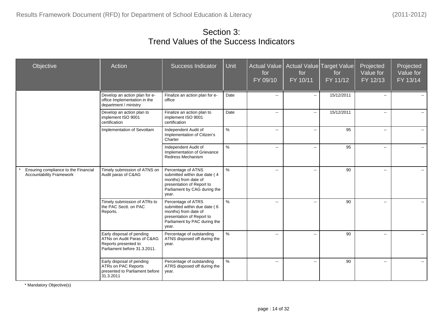Section 3: Trend Values of the Success Indicators

| Objective                                                               | Action                                                                                                           | <b>Success Indicator</b>                                                                                                                         | Unit | Actual Value<br>for<br>FY 09/10               | for<br>FY 10/11          | Actual Value Target Value<br>for<br>FY 11/12 | Projected<br>Value for<br>FY 12/13 | Projected<br>Value for<br>FY 13/14 |
|-------------------------------------------------------------------------|------------------------------------------------------------------------------------------------------------------|--------------------------------------------------------------------------------------------------------------------------------------------------|------|-----------------------------------------------|--------------------------|----------------------------------------------|------------------------------------|------------------------------------|
|                                                                         | Develop an action plan for e-<br>office Implementation in the<br>department / ministry                           | Finalize an action plan for e-<br>office                                                                                                         | Date | $\sim$                                        | $\mathbf{u}$             | 15/12/2011                                   | $\overline{\phantom{a}}$           |                                    |
|                                                                         | Develop an action plan to<br>implement ISO 9001<br>certification                                                 | Finalize an action plan to<br>implement ISO 9001<br>certification                                                                                | Date | $\mathord{\text{--}}$                         | $\sim$                   | 15/12/2011                                   | $\mathbf{m}$                       |                                    |
|                                                                         | Implementation of Sevottam                                                                                       | Independent Audit of<br>Implementation of Citizen's<br>Charter                                                                                   | $\%$ | $\sim$                                        | $\sim$                   | 95                                           | $\sim$                             |                                    |
|                                                                         |                                                                                                                  | Independent Audit of<br>Implementation of Grievance<br>Redress Mechanism                                                                         | $\%$ | $\sim$                                        | $\sim$                   | 95                                           | $\mathbf{m}$                       | $\sim$                             |
| Ensuring compliance to the Financial<br><b>Accountability Framework</b> | Timely submission of ATNS on<br>Audit paras of C&AG                                                              | Percentage of ATNS<br>submitted within due date (4<br>months) from date of<br>presentation of Report to<br>Parliament by CAG during the<br>year. | $\%$ | $\mathbf{u}$                                  | $\sim$                   | 90                                           | $\overline{\phantom{a}}$           | $\mathbf{u}$                       |
|                                                                         | Timely submission of ATRs to<br>the PAC Sectt. on PAC<br>Reports.                                                | Percentage of ATRS<br>submitted within due date (6<br>months) from date of<br>presentation of Report to<br>Parliament by PAC during the<br>year. | $\%$ | $\sim$ $\sim$                                 | $\sim$                   | 90                                           | $\sim$                             |                                    |
|                                                                         | Early disposal of pending<br>ATNs on Audit Paras of C&AG<br>Reports presented to<br>Parliament before 31.3.2011. | Percentage of outstanding<br>ATNS disposed off during the<br>year.                                                                               | $\%$ | $\sim$                                        | $\sim$                   | 90                                           | $\sim$                             |                                    |
|                                                                         | Early disposal of pending<br>ATRs on PAC Reports<br>presented to Parliament before<br>31.3.2011                  | Percentage of outstanding<br>ATRS disposed off during the<br>year.                                                                               | $\%$ | $\mathord{\hspace{1pt}\text{--}\hspace{1pt}}$ | $\overline{\phantom{a}}$ | 90                                           | $\sim$                             | $\sim$                             |

\* Mandatory Objective(s)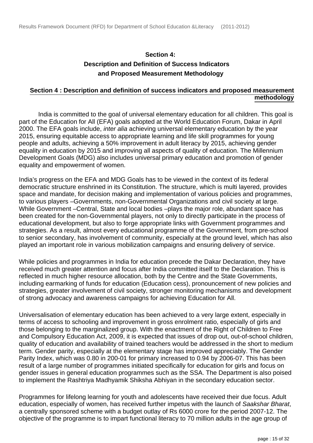#### **Section 4: Description and Definition of Success Indicators and Proposed Measurement Methodology**

#### **Section 4 : Description and definition of success indicators and proposed measurement methodology**

 India is committed to the goal of universal elementary education for all children. This goal is part of the Education for All (EFA) goals adopted at the World Education Forum, Dakar in April 2000. The EFA goals include, *inter alia* achieving universal elementary education by the year 2015, ensuring equitable access to appropriate learning and life skill programmes for young people and adults, achieving a 50% improvement in adult literacy by 2015, achieving gender equality in education by 2015 and improving all aspects of quality of education. The Millennium Development Goals (MDG) also includes universal primary education and promotion of gender equality and empowerment of women.

India's progress on the EFA and MDG Goals has to be viewed in the context of its federal democratic structure enshrined in its Constitution. The structure, which is multi layered, provides space and mandate, for decision making and implementation of various policies and programmes, to various players –Governments, non-Governmental Organizations and civil society at large. While Government –Central, State and local bodies –plays the major role, abundant space has been created for the non-Governmental players, not only to directly participate in the process of educational development, but also to forge appropriate links with Government programmes and strategies. As a result, almost every educational programme of the Government, from pre-school to senior secondary, has involvement of community, especially at the ground level, which has also played an important role in various mobilization campaigns and ensuring delivery of service.

While policies and programmes in India for education precede the Dakar Declaration, they have received much greater attention and focus after India committed itself to the Declaration. This is reflected in much higher resource allocation, both by the Centre and the State Governments, including earmarking of funds for education (Education cess), pronouncement of new policies and strategies, greater involvement of civil society, stronger monitoring mechanisms and development of strong advocacy and awareness campaigns for achieving Education for All.

Universalisation of elementary education has been achieved to a very large extent, especially in terms of access to schooling and improvement in gross enrolment ratio, especially of girls and those belonging to the marginalized group. With the enactment of the Right of Children to Free and Compulsory Education Act, 2009, it is expected that issues of drop out, out-of-school children, quality of education and availability of trained teachers would be addressed in the short to medium term. Gender parity, especially at the elementary stage has improved appreciably. The Gender Parity Index, which was 0.80 in 200-01 for primary increased to 0.94 by 2006-07. This has been result of a large number of programmes initiated specifically for education for girls and focus on gender issues in general education programmes such as the SSA. The Department is also poised to implement the Rashtriya Madhyamik Shiksha Abhiyan in the secondary education sector.

Programmes for lifelong learning for youth and adolescents have received their due focus. Adult education, especially of women, has received further impetus with the launch of Saakshar Bharat, a centrally sponsored scheme with a budget outlay of Rs 6000 crore for the period 2007-12. The objective of the programme is to impart functional literacy to 70 million adults in the age group of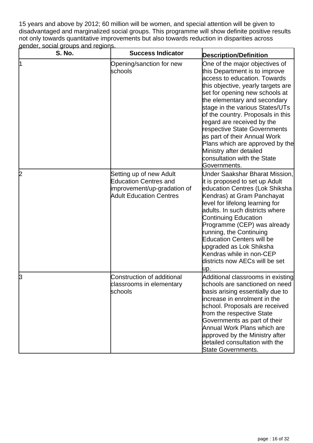15 years and above by 2012; 60 million will be women, and special attention will be given to disadvantaged and marginalized social groups. This programme will show definite positive results not only towards quantitative improvements but also towards reduction in disparities across gender, social groups and regions.

| <b>S. No.</b> | <b>Success Indicator</b>                                                                                                 | <b>Description/Definition</b>                                                                                                                                                                                                                                                                                                                                                                                                                                                              |
|---------------|--------------------------------------------------------------------------------------------------------------------------|--------------------------------------------------------------------------------------------------------------------------------------------------------------------------------------------------------------------------------------------------------------------------------------------------------------------------------------------------------------------------------------------------------------------------------------------------------------------------------------------|
| 11            | Opening/sanction for new<br>schools                                                                                      | One of the major objectives of<br>this Department is to improve<br>access to education. Towards<br>this objective, yearly targets are<br>set for opening new schools at<br>the elementary and secondary<br>stage in the various States/UTs<br>of the country. Proposals in this<br>regard are received by the<br>respective State Governments<br>as part of their Annual Work<br>Plans which are approved by the<br>Ministry after detailed<br>consultation with the State<br>Governments. |
| 12            | Setting up of new Adult<br><b>Education Centres and</b><br>improvement/up-gradation of<br><b>Adult Education Centres</b> | Under Saakshar Bharat Mission,<br>it is proposed to set up Adult<br>education Centres (Lok Shiksha<br>Kendras) at Gram Panchayat<br>level for lifelong learning for<br>adults. In such districts where<br><b>Continuing Education</b><br>Programme (CEP) was already<br>running, the Continuing<br><b>Education Centers will be</b><br>upgraded as Lok Shiksha<br>Kendras while in non-CEP<br>districts now AECs will be set<br>up.                                                        |
| β             | <b>Construction of additional</b><br>classrooms in elementary<br>schools                                                 | Additional classrooms in existing<br>schools are sanctioned on need  <br>basis arising essentially due to<br>increase in enrolment in the<br>school. Proposals are received<br>from the respective State<br>Governments as part of their<br>Annual Work Plans which are<br>approved by the Ministry after<br>detailed consultation with the<br>State Governments.                                                                                                                          |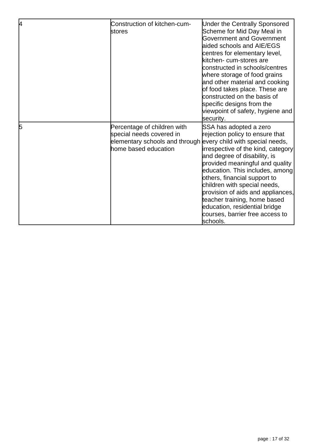| 4 | Construction of kitchen-cum-<br>stores                                                                                                            | <b>Under the Centrally Sponsored</b><br>Scheme for Mid Day Meal in<br>Government and Government<br>laided schools and AIE/EGS<br>centres for elementary level,<br>kitchen- cum-stores are<br>constructed in schools/centres<br>where storage of food grains<br>and other material and cooking<br>of food takes place. These are<br>constructed on the basis of<br>specific designs from the<br>viewpoint of safety, hygiene and<br>security. |
|---|---------------------------------------------------------------------------------------------------------------------------------------------------|----------------------------------------------------------------------------------------------------------------------------------------------------------------------------------------------------------------------------------------------------------------------------------------------------------------------------------------------------------------------------------------------------------------------------------------------|
| 5 | Percentage of children with<br>special needs covered in<br>elementary schools and through every child with special needs,<br>home based education | SSA has adopted a zero<br>rejection policy to ensure that<br>irrespective of the kind, category<br>and degree of disability, is<br>provided meaningful and quality<br>education. This includes, among<br>others, financial support to<br>children with special needs,<br>provision of aids and appliances,<br>teacher training, home based<br>education, residential bridge<br>courses, barrier free access to<br><b>s</b> chools.           |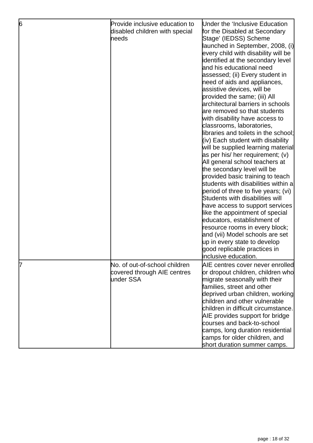| 6 | Provide inclusive education to<br>disabled children with special<br>heeds | Under the 'Inclusive Education<br>for the Disabled at Secondary<br>Stage' (IEDSS) Scheme<br>launched in September, 2008, (i)<br>every child with disability will be<br>identified at the secondary level<br>and his educational need<br>assessed; (ii) Every student in<br>heed of aids and appliances,<br>assistive devices, will be<br>provided the same; (iii) All<br>architectural barriers in schools<br>are removed so that students<br>with disability have access to<br>classrooms, laboratories,<br>libraries and toilets in the school;<br>(iv) Each student with disability<br>will be supplied learning material<br>as per his/ her requirement; (v)<br>All general school teachers at<br>the secondary level will be<br>provided basic training to teach<br>students with disabilities within a<br>period of three to five years; (vi)<br>Students with disabilities will<br>have access to support services<br>like the appointment of special<br>educators, establishment of<br>resource rooms in every block;<br>and (vii) Model schools are set<br>up in every state to develop<br>good replicable practices in<br>inclusive education. |
|---|---------------------------------------------------------------------------|----------------------------------------------------------------------------------------------------------------------------------------------------------------------------------------------------------------------------------------------------------------------------------------------------------------------------------------------------------------------------------------------------------------------------------------------------------------------------------------------------------------------------------------------------------------------------------------------------------------------------------------------------------------------------------------------------------------------------------------------------------------------------------------------------------------------------------------------------------------------------------------------------------------------------------------------------------------------------------------------------------------------------------------------------------------------------------------------------------------------------------------------------------|
| 7 | No. of out-of-school children<br>covered through AIE centres<br>under SSA | AIE centres cover never enrolled<br>or dropout children, children who<br>migrate seasonally with their<br>families, street and other<br>deprived urban children, working<br>children and other vulnerable<br>children in difficult circumstance.<br>AIE provides support for bridge<br>courses and back-to-school<br>camps, long duration residential<br>camps for older children, and<br>short duration summer camps.                                                                                                                                                                                                                                                                                                                                                                                                                                                                                                                                                                                                                                                                                                                                   |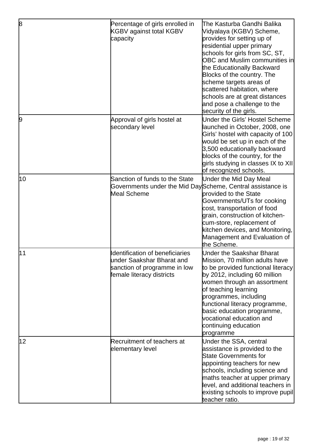| 8  | Percentage of girls enrolled in<br>KGBV against total KGBV<br>capacity                                                    | The Kasturba Gandhi Balika<br>Vidyalaya (KGBV) Scheme,<br>provides for setting up of<br>residential upper primary<br>schools for girls from SC, ST,<br><b>OBC and Muslim communities in</b><br>the Educationally Backward<br>Blocks of the country. The<br>scheme targets areas of<br>scattered habitation, where<br>schools are at great distances<br>and pose a challenge to the<br>security of the girls. |
|----|---------------------------------------------------------------------------------------------------------------------------|--------------------------------------------------------------------------------------------------------------------------------------------------------------------------------------------------------------------------------------------------------------------------------------------------------------------------------------------------------------------------------------------------------------|
| 9  | Approval of girls hostel at<br>secondary level                                                                            | Under the Girls' Hostel Scheme<br>launched in October, 2008, one<br>Girls' hostel with capacity of 100<br>would be set up in each of the<br>3,500 educationally backward<br>blocks of the country, for the<br>girls studying in classes IX to XII <br>of recognized schools.                                                                                                                                 |
| 10 | Sanction of funds to the State<br>Governments under the Mid DayScheme, Central assistance is<br>Meal Scheme               | Under the Mid Day Meal<br>provided to the State<br>Governments/UTs for cooking<br>cost, transportation of food<br>grain, construction of kitchen-<br>cum-store, replacement of<br>kitchen devices, and Monitoring,<br>Management and Evaluation of<br>the Scheme.                                                                                                                                            |
| 11 | Identification of beneficiaries<br>under Saakshar Bharat and<br>sanction of programme in low<br>female literacy districts | Under the Saakshar Bharat<br>Mission, 70 million adults have<br>to be provided functional literacy<br>by 2012, including 60 million<br>women through an assortment<br>of teaching learning<br>programmes, including<br>functional literacy programme,<br>basic education programme,<br>vocational education and<br>continuing education<br>programme                                                         |
| 12 | Recruitment of teachers at<br>elementary level                                                                            | Under the SSA, central<br>assistance is provided to the<br><b>State Governments for</b><br>appointing teachers for new<br>schools, including science and<br>maths teacher at upper primary<br>level, and additional teachers in<br>existing schools to improve pupil<br>teacher ratio.                                                                                                                       |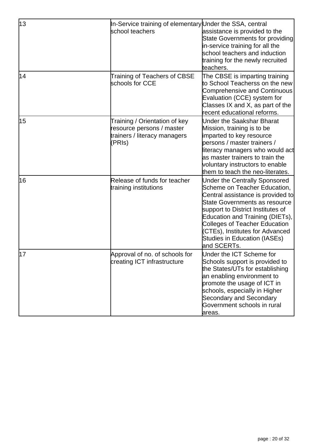| 13 | In-Service training of elementary Under the SSA, central<br>school teachers                          | assistance is provided to the<br><b>State Governments for providing</b><br>in-service training for all the<br>school teachers and induction<br>training for the newly recruited<br>teachers.                                                                                                                                                        |
|----|------------------------------------------------------------------------------------------------------|-----------------------------------------------------------------------------------------------------------------------------------------------------------------------------------------------------------------------------------------------------------------------------------------------------------------------------------------------------|
| 14 | Training of Teachers of CBSE<br>schools for CCE                                                      | The CBSE is imparting training<br>to School Teacherss on the new<br><b>Comprehensive and Continuous</b><br>Evaluation (CCE) system for<br>Classes IX and X, as part of the<br>recent educational reforms.                                                                                                                                           |
| 15 | Training / Orientation of key<br>resource persons / master<br>trainers / literacy managers<br>(PRIs) | <b>Under the Saakshar Bharat</b><br>Mission, training is to be<br>imparted to key resource<br>persons / master trainers /<br>literacy managers who would act<br>as master trainers to train the<br>voluntary instructors to enable<br>them to teach the neo-literates.                                                                              |
| 16 | Release of funds for teacher<br>training institutions                                                | <b>Under the Centrally Sponsored</b><br>Scheme on Teacher Education,<br>Central assistance is provided to<br>State Governments as resource<br>support to District Institutes of<br>Education and Training (DIETs),<br><b>Colleges of Teacher Education</b><br>(CTEs), Institutes for Advanced<br><b>Studies in Education (IASEs)</b><br>and SCERTs. |
| 17 | Approval of no. of schools for<br>creating ICT infrastructure                                        | Under the ICT Scheme for<br>Schools support is provided to<br>the States/UTs for establishing<br>an enabling environment to<br>promote the usage of ICT in<br>schools, especially in Higher<br>Secondary and Secondary<br>Government schools in rural<br>areas.                                                                                     |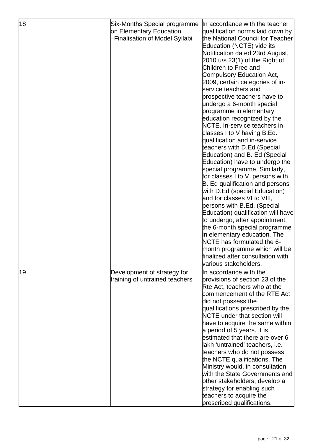| 18 | Six-Months Special programme<br>on Elementary Education<br>-Finalisation of Model Syllabi | In accordance with the teacher<br>qualification norms laid down by<br>the National Council for Teacher<br>Education (NCTE) vide its<br>Notification dated 23rd August,<br>2010 u/s 23(1) of the Right of<br>Children to Free and<br>Compulsory Education Act,<br>2009, certain categories of in-<br>service teachers and<br>prospective teachers have to<br>undergo a 6-month special<br>programme in elementary<br>education recognized by the<br>NCTE. In-service teachers in<br>classes I to V having B.Ed.<br>qualification and in-service<br>teachers with D.Ed (Special<br>Education) and B. Ed (Special<br>Education) have to undergo the<br>special programme. Similarly,<br>for classes I to V, persons with<br><b>B.</b> Ed qualification and persons<br>with D.Ed (special Education)<br>and for classes VI to VIII,<br>persons with B.Ed. (Special<br>Education) qualification will have<br>to undergo, after appointment,<br>the 6-month special programme<br>in elementary education. The<br>NCTE has formulated the 6-<br>month programme which will be |
|----|-------------------------------------------------------------------------------------------|------------------------------------------------------------------------------------------------------------------------------------------------------------------------------------------------------------------------------------------------------------------------------------------------------------------------------------------------------------------------------------------------------------------------------------------------------------------------------------------------------------------------------------------------------------------------------------------------------------------------------------------------------------------------------------------------------------------------------------------------------------------------------------------------------------------------------------------------------------------------------------------------------------------------------------------------------------------------------------------------------------------------------------------------------------------------|
|    |                                                                                           | finalized after consultation with                                                                                                                                                                                                                                                                                                                                                                                                                                                                                                                                                                                                                                                                                                                                                                                                                                                                                                                                                                                                                                      |
| 19 | Development of strategy for<br>training of untrained teachers                             | lvarious stakeholders.<br>In accordance with the<br>provisions of section 23 of the<br>Rte Act, teachers who at the<br>commencement of the RTE Act<br>did not possess the<br>qualifications prescribed by the<br>NCTE under that section will<br>have to acquire the same within<br>a period of 5 years. It is<br>estimated that there are over 6<br>lakh 'untrained' teachers, i.e.<br>teachers who do not possess<br>the NCTE qualifications. The<br>Ministry would, in consultation<br>with the State Governments and<br>other stakeholders, develop a<br>strategy for enabling such<br>teachers to acquire the<br>prescribed qualifications.                                                                                                                                                                                                                                                                                                                                                                                                                       |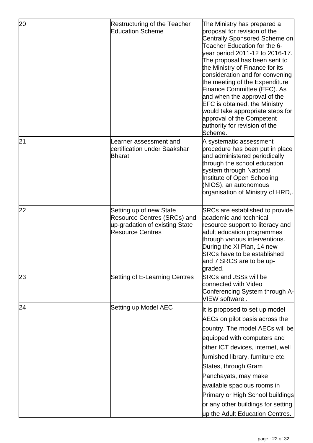| 20 | Restructuring of the Teacher<br><b>Education Scheme</b>                                                             | The Ministry has prepared a<br>proposal for revision of the<br><b>Centrally Sponsored Scheme on</b><br>Teacher Education for the 6-<br>year period 2011-12 to 2016-17.<br>The proposal has been sent to<br>the Ministry of Finance for its<br>consideration and for convening<br>the meeting of the Expenditure<br>Finance Committee (EFC). As<br>and when the approval of the<br><b>EFC</b> is obtained, the Ministry<br>would take appropriate steps for<br>approval of the Competent<br>authority for revision of the<br>Scheme. |
|----|---------------------------------------------------------------------------------------------------------------------|-------------------------------------------------------------------------------------------------------------------------------------------------------------------------------------------------------------------------------------------------------------------------------------------------------------------------------------------------------------------------------------------------------------------------------------------------------------------------------------------------------------------------------------|
| 21 | earner assessment and<br>certification under Saakshar<br><b>Bharat</b>                                              | A systematic assessment<br>procedure has been put in place<br>and administered periodically<br>through the school education<br>system through National<br>Institute of Open Schooling<br>(NIOS), an autonomous<br>organisation of Ministry of HRD,.                                                                                                                                                                                                                                                                                 |
| 22 | Setting up of new State<br>Resource Centres (SRCs) and<br>up-gradation of existing State<br><b>Resource Centres</b> | <b>SRCs are established to provide</b><br>academic and technical<br>resource support to literacy and<br>adult education programmes<br>through various interventions.<br>During the XI Plan, 14 new<br><b>SRCs have to be established</b><br>and 7 SRCS are to be up-<br><b>graded.</b>                                                                                                                                                                                                                                              |
| 23 | Setting of E-Learning Centres                                                                                       | SRCs and JSSs will be<br>connected with Video<br>Conferencing System through A-<br>VIEW software.                                                                                                                                                                                                                                                                                                                                                                                                                                   |
| 24 | Setting up Model AEC                                                                                                | It is proposed to set up model<br>AECs on pilot basis across the<br>country. The model AECs will be<br>equipped with computers and<br>other ICT devices, internet, well<br>furnished library, furniture etc.<br>States, through Gram<br>Panchayats, may make<br>available spacious rooms in<br><b>Primary or High School buildings</b><br>or any other buildings for setting<br>up the Adult Education Centres.                                                                                                                     |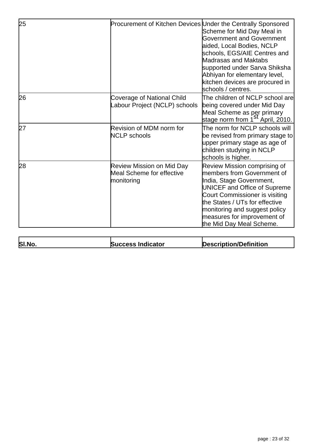| 25 | Procurement of Kitchen Devices Under the Centrally Sponsored                | Scheme for Mid Day Meal in<br><b>Government and Government</b><br>aided, Local Bodies, NCLP<br>schools, EGS/AIE Centres and<br>Madrasas and Maktabs<br>supported under Sarva Shiksha<br>Abhiyan for elementary level,<br>kitchen devices are procured in<br>schools / centres.                |
|----|-----------------------------------------------------------------------------|-----------------------------------------------------------------------------------------------------------------------------------------------------------------------------------------------------------------------------------------------------------------------------------------------|
| 26 | Coverage of National Child<br>abour Project (NCLP) schools                  | The children of NCLP school are<br>being covered under Mid Day<br>Meal Scheme as per primary<br>stage norm from 1 <sup>St</sup> April, 2010.                                                                                                                                                  |
| 27 | Revision of MDM norm for<br><b>NCLP</b> schools                             | The norm for NCLP schools will<br>be revised from primary stage to<br>upper primary stage as age of<br>children studying in NCLP<br>school <u>s is higher.</u>                                                                                                                                |
| 28 | <b>Review Mission on Mid Day</b><br>Meal Scheme for effective<br>monitoring | Review Mission comprising of<br>members from Government of<br>India, Stage Government,<br><b>UNICEF and Office of Supreme</b><br>Court Commissioner is visiting<br>the States / UTs for effective<br>monitoring and suggest policy<br>measures for improvement of<br>the Mid Day Meal Scheme. |

| SI.No. | <b>Success Indicator</b> | Description/Definition |
|--------|--------------------------|------------------------|
|        |                          |                        |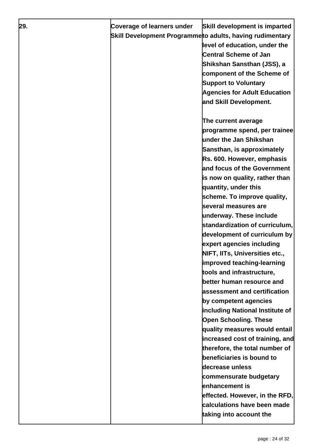| 29. | Coverage of learners under                               | Skill development is imparted       |
|-----|----------------------------------------------------------|-------------------------------------|
|     | Skill Development Programmeto adults, having rudimentary |                                     |
|     |                                                          | level of education, under the       |
|     |                                                          | <b>Central Scheme of Jan</b>        |
|     |                                                          | Shikshan Sansthan (JSS), a          |
|     |                                                          | component of the Scheme of          |
|     |                                                          | <b>Support to Voluntary</b>         |
|     |                                                          | <b>Agencies for Adult Education</b> |
|     |                                                          | and Skill Development.              |
|     |                                                          |                                     |
|     |                                                          | The current average                 |
|     |                                                          | programme spend, per trainee        |
|     |                                                          | under the Jan Shikshan              |
|     |                                                          | Sansthan, is approximately          |
|     |                                                          | Rs. 600. However, emphasis          |
|     |                                                          | and focus of the Government         |
|     |                                                          | is now on quality, rather than      |
|     |                                                          | quantity, under this                |
|     |                                                          | scheme. To improve quality,         |
|     |                                                          | <b>several measures are</b>         |
|     |                                                          | underway. These include             |
|     |                                                          | standardization of curriculum,      |
|     |                                                          | development of curriculum by        |
|     |                                                          | expert agencies including           |
|     |                                                          | NIFT, IITs, Universities etc.       |
|     |                                                          | improved teaching-learning          |
|     |                                                          | tools and infrastructure,           |
|     |                                                          | better human resource and           |
|     |                                                          | assessment and certification        |
|     |                                                          | by competent agencies               |
|     |                                                          | including National Institute of     |
|     |                                                          | <b>Open Schooling. These</b>        |
|     |                                                          | quality measures would entail       |
|     |                                                          | increased cost of training, and     |
|     |                                                          | therefore, the total number of      |
|     |                                                          | beneficiaries is bound to           |
|     |                                                          | decrease unless                     |
|     |                                                          | commensurate budgetary              |
|     |                                                          | lenhancement is                     |
|     |                                                          | effected. However, in the RFD,      |
|     |                                                          | calculations have been made         |
|     |                                                          | taking into account the             |
|     |                                                          |                                     |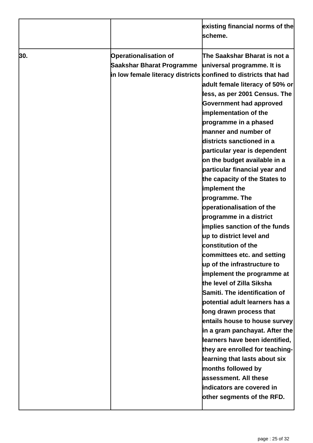|     |                                                                                                                              | existing financial norms of the<br>scheme.                                                                                                                                                                                                                                                                                                                                                                                                                                                                                                                                                                                                                                                                                                                                                                                                                                                                                                                                                                                                                                                         |
|-----|------------------------------------------------------------------------------------------------------------------------------|----------------------------------------------------------------------------------------------------------------------------------------------------------------------------------------------------------------------------------------------------------------------------------------------------------------------------------------------------------------------------------------------------------------------------------------------------------------------------------------------------------------------------------------------------------------------------------------------------------------------------------------------------------------------------------------------------------------------------------------------------------------------------------------------------------------------------------------------------------------------------------------------------------------------------------------------------------------------------------------------------------------------------------------------------------------------------------------------------|
| 30. | <b>Operationalisation of</b><br>Saakshar Bharat Programme<br>in low female literacy districts confined to districts that had | The Saakshar Bharat is not a<br>universal programme. It is<br>adult female literacy of 50% or<br>less, as per 2001 Census. The<br><b>Government had approved</b><br>implementation of the<br>programme in a phased<br>manner and number of<br>districts sanctioned in a<br>particular year is dependent<br>on the budget available in a<br>particular financial year and<br>the capacity of the States to<br>implement the<br>programme. The<br>operationalisation of the<br>programme in a district<br>implies sanction of the funds<br>up to district level and<br>constitution of the<br>committees etc. and setting<br>up of the infrastructure to<br>implement the programme at<br>the level of Zilla Siksha<br>Samiti. The identification of<br>potential adult learners has a<br>long drawn process that<br>entails house to house survey<br>in a gram panchayat. After the<br>learners have been identified,<br>they are enrolled for teaching-<br>learning that lasts about six<br>months followed by<br>assessment. All these<br>indicators are covered in<br>other segments of the RFD. |
|     |                                                                                                                              |                                                                                                                                                                                                                                                                                                                                                                                                                                                                                                                                                                                                                                                                                                                                                                                                                                                                                                                                                                                                                                                                                                    |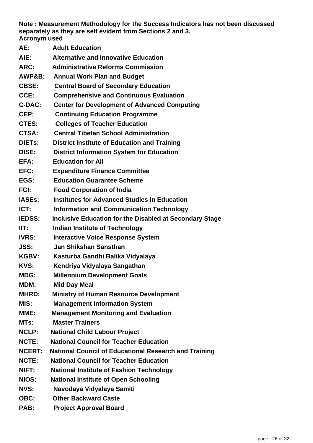**Note : Measurement Methodology for the Success Indicators has not been discussed separately as they are self evident from Sections 2 and 3. Acronym used** 

- **AE: Adult Education AIE: Alternative and Innovative Education ARC: Administrative Reforms Commission AWP&B: Annual Work Plan and Budget CBSE: Central Board of Secondary Education CCE: Comprehensive and Continuous Evaluation C-DAC: Center for Development of Advanced Computing CEP: Continuing Education Programme CTES: Colleges of Teacher Education CTSA: Central Tibetan School Administration DIETs: District Institute of Education and Training DISE: District Information System for Education EFA: Education for All EFC: Expenditure Finance Committee EGS: Education Guarantee Scheme FCI: Food Corporation of India IASEs: Institutes for Advanced Studies in Education ICT:** Information and Communication Technology **IEDSS: Inclusive Education for the Disabled at Secondary Stage IIT:** Indian Institute of Technology **IVRS: Interactive Voice Response System JSS: Jan Shikshan Sansthan KGBV: Kasturba Gandhi Balika Vidyalaya KVS: Kendriya Vidyalaya Sangathan MDG: Millennium Development Goals MDM: Mid Day Meal MHRD: Ministry of Human Resource Development MIS: Management Information System MME: Management Monitoring and Evaluation MTs: Master Trainers NCLP: National Child Labour Project NCTE: National Council for Teacher Education NCERT: National Council of Educational Research and Training NCTE: National Council for Teacher Education NIFT: National Institute of Fashion Technology NIOS: National Institute of Open Schooling NVS: Navodaya Vidyalaya Samiti OBC: Other Backward Caste**
- **PAB: Project Approval Board**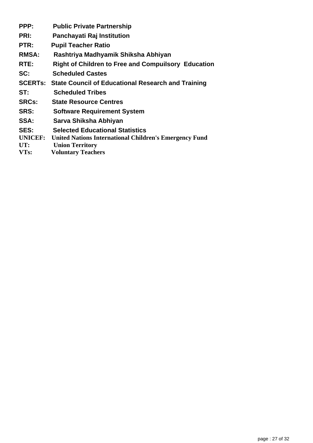**PPP: Public Private Partnership PRI: Panchayati Raj Institution PTR: Pupil Teacher Ratio RMSA: Rashtriya Madhyamik Shiksha Abhiyan RTE: Right of Children to Free and Compuilsory Education SC: Scheduled Castes SCERTs: State Council of Educational Research and Training ST: Scheduled Tribes SRCs: State Resource Centres SRS: Software Requirement System SSA: Sarva Shiksha Abhiyan SES: Selected Educational Statistics UNICEF: United Nations International Children's Emergency Fund UT: Union Territory VTs: Voluntary Teachers**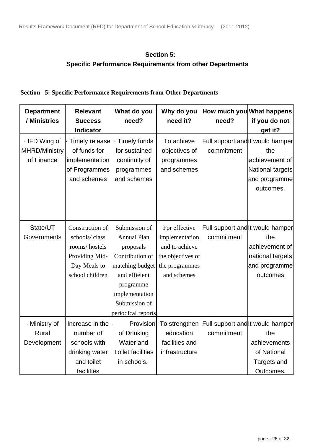#### **Section 5: Specific Performance Requirements from other Departments**

#### **Section –5: Specific Performance Requirements from Other Departments**

| <b>Department</b><br>/ Ministries                   | <b>Relevant</b><br><b>Success</b><br>Indicator                                                         | What do you<br>need?                                                                                                                                                          | Why do you<br>need it?                                                                                  | How much you What happens<br>need?             | if you do not<br>get it?                                                                                    |
|-----------------------------------------------------|--------------------------------------------------------------------------------------------------------|-------------------------------------------------------------------------------------------------------------------------------------------------------------------------------|---------------------------------------------------------------------------------------------------------|------------------------------------------------|-------------------------------------------------------------------------------------------------------------|
| · IFD Wing of<br><b>MHRD/Ministry</b><br>of Finance | Timely release<br>of funds for<br>implementation<br>of Programmes<br>and schemes                       | <b>Timely funds</b><br>for sustained<br>continuity of<br>programmes<br>and schemes                                                                                            | To achieve<br>objectives of<br>programmes<br>and schemes                                                | commitment                                     | Full support and it would hamper<br>the<br>achievement of<br>National targets<br>and programme<br>outcomes. |
| State/UT<br>Governments                             | Construction of<br>schools/class<br>rooms/hostels<br>Providing Mid-<br>Day Meals to<br>school children | Submission of<br><b>Annual Plan</b><br>proposals<br>Contribution of<br>matching budget<br>and efficient<br>programme<br>implementation<br>Submission of<br>periodical reports | For effective<br>implementation<br>and to achieve<br>the objectives of<br>the programmes<br>and schemes | commitment                                     | Full support and it would hamper<br>the<br>achievement of<br>national targets<br>and programme<br>outcomes  |
| · Ministry of<br>Rural<br>Development               | Increase in the<br>number of<br>schools with<br>drinking water<br>and toilet<br>facilities             | Provision<br>of Drinking<br>Water and<br><b>Toilet facilities</b><br>in schools.                                                                                              | To strengthen<br>education<br>facilities and<br>infrastructure                                          | Full support and it would hamper<br>commitment | the<br>achievements<br>of National<br>Targets and<br>Outcomes.                                              |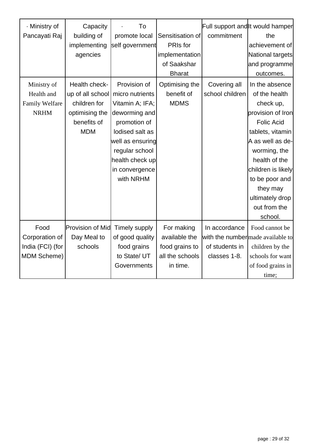| · Ministry of<br>Pancayati Raj                             | Capacity<br>building of<br>implementing<br>agencies                                              | To<br>promote local<br>self government                                                                                                                                                         | Sensitisation of<br>PRIs for<br>implementation<br>of Saakshar<br><b>Bharat</b> | commitment                                      | Full support and It would hamper<br>the<br>achievement of<br>National targets<br>and programme<br>outcomes.                                                                                                                                                       |
|------------------------------------------------------------|--------------------------------------------------------------------------------------------------|------------------------------------------------------------------------------------------------------------------------------------------------------------------------------------------------|--------------------------------------------------------------------------------|-------------------------------------------------|-------------------------------------------------------------------------------------------------------------------------------------------------------------------------------------------------------------------------------------------------------------------|
| Ministry of<br>Health and<br>Family Welfare<br><b>NRHM</b> | Health check-<br>up of all school<br>children for<br>optimising the<br>benefits of<br><b>MDM</b> | Provision of<br>micro nutrients<br>Vitamin A; IFA;<br>deworming and<br>promotion of<br>lodised salt as<br>well as ensuring<br>regular school<br>health check up<br>in convergence<br>with NRHM | Optimising the<br>benefit of<br><b>MDMS</b>                                    | Covering all<br>school children                 | In the absence<br>of the health<br>check up,<br>provision of Iron<br><b>Folic Acid</b><br>tablets, vitamin<br>A as well as de-<br>worming, the<br>health of the<br>children is likely<br>to be poor and<br>they may<br>ultimately drop<br>out from the<br>school. |
| Food<br>Corporation of<br>India (FCI) (for<br>MDM Scheme)  | <b>Provision of Mid</b><br>Day Meal to<br>schools                                                | Timely supply<br>of good quality<br>food grains<br>to State/ UT<br>Governments                                                                                                                 | For making<br>available the<br>food grains to<br>all the schools<br>in time.   | In accordance<br>of students in<br>classes 1-8. | Food cannot be<br>with the number made available to<br>children by the<br>schools for want<br>of food grains in<br>time;                                                                                                                                          |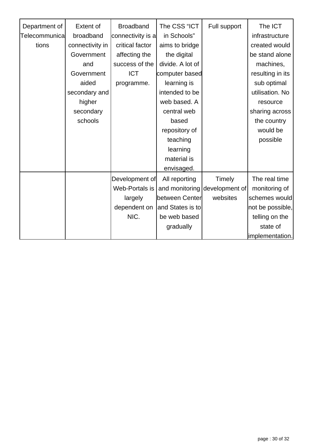| Department of  | <b>Extent of</b> | <b>Broadband</b>  | The CSS "ICT     | Full support   | The ICT          |
|----------------|------------------|-------------------|------------------|----------------|------------------|
| Telecommunical | broadband        | connectivity is a | in Schools"      |                | infrastructure   |
| tions          | connectivity in  | critical factor   | aims to bridge   |                | created would    |
|                | Government       | affecting the     | the digital      |                | be stand alone   |
|                | and              | success of the    | divide. A lot of |                | machines,        |
|                | Government       | <b>ICT</b>        | computer based   |                | resulting in its |
|                | aided            | programme.        | learning is      |                | sub optimal      |
|                | secondary and    |                   | intended to be   |                | utilisation. No  |
|                | higher           |                   | web based. A     |                | resource         |
|                | secondary        |                   | central web      |                | sharing across   |
|                | schools          |                   | based            |                | the country      |
|                |                  |                   | repository of    |                | would be         |
|                |                  |                   | teaching         |                | possible         |
|                |                  |                   | learning         |                |                  |
|                |                  |                   | material is      |                |                  |
|                |                  |                   | envisaged.       |                |                  |
|                |                  | Development of    | All reporting    | Timely         | The real time    |
|                |                  | Web-Portals is    | and monitoring   | development of | monitoring of    |
|                |                  | largely           | between Center   | websites       | schemes would    |
|                |                  | dependent on      | and States is to |                | not be possible, |
|                |                  | NIC.              | be web based     |                | telling on the   |
|                |                  |                   | gradually        |                | state of         |
|                |                  |                   |                  |                | limplementation. |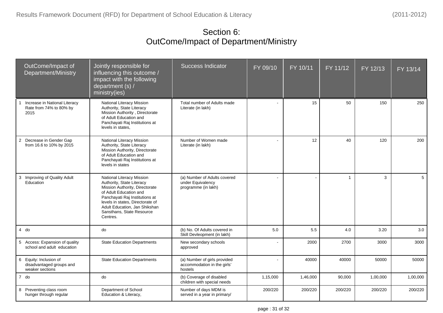# Section 6: OutCome/Impact of Department/Ministry

| OutCome/Impact of<br>Department/Ministry                              | Jointly responsible for<br>influencing this outcome /<br>impact with the following<br>department (s) /<br>ministry(ies)                                                                                                                                            | <b>Success Indicator</b>                                                 | FY 09/10 | FY 10/11 | FY 11/12       | FY 12/13 | FY 13/14 |
|-----------------------------------------------------------------------|--------------------------------------------------------------------------------------------------------------------------------------------------------------------------------------------------------------------------------------------------------------------|--------------------------------------------------------------------------|----------|----------|----------------|----------|----------|
| Increase in National Literacy<br>Rate from 74% to 80% by<br>2015      | National Literacy Mission<br>Authority, State Literacy<br>Mission Authority, Directorate<br>of Adult Education and<br>Panchayati Raj Institutions at<br>levels in states.                                                                                          | Total number of Adults made<br>Literate (in lakh)                        |          | 15       | 50             | 150      | 250      |
| 2 Decrease in Gender Gap<br>from 16.6 to 10% by 2015                  | National Literacy Mission<br>Authority, State Literacy<br>Mission Authority, Directorate<br>of Adult Education and<br>Panchayati Raj Institutions at<br>levels in states                                                                                           | Number of Women made<br>Literate (in lakh)                               |          | 12       | 40             | 120      | 200      |
| 3<br>Improving of Quality Adult<br>Education                          | National Literacy Mission<br>Authority, State Literacy<br>Mission Authority, Directorate<br>of Adult Education and<br>Panchayati Raj Institutions at<br>levels in states, Directorate of<br>Adult Education, Jan Shikshan<br>Sansthans, State Resource<br>Centres. | (a) Number of Adults covered<br>under Equivalency<br>programme (in lakh) |          |          | $\overline{1}$ | 3        | 5        |
| $4$ do                                                                | do                                                                                                                                                                                                                                                                 | (b) No. Of Adults covered in<br>Skill Devleopment (in lakh)              | 5.0      | 5.5      | 4.0            | 3.20     | 3.0      |
| 5 Access: Expansion of quality<br>school and adult education          | <b>State Education Departments</b>                                                                                                                                                                                                                                 | New secondary schools<br>approved                                        |          | 2000     | 2700           | 3000     | 3000     |
| 6 Equity: Inclusion of<br>disadvantaged groups and<br>weaker sections | <b>State Education Departments</b>                                                                                                                                                                                                                                 | (a) Number of girls provided<br>accommodation in the girls'<br>hostels   |          | 40000    | 40000          | 50000    | 50000    |
| 7 do                                                                  | do                                                                                                                                                                                                                                                                 | (b) Coverage of disabled<br>children with special needs                  | 1,15,000 | 1,46,000 | 90,000         | 1,00,000 | 1,00,000 |
| 8 Preventing class room<br>hunger through regular                     | Department of School<br>Education & Literacy,                                                                                                                                                                                                                      | Number of days MDM is<br>served in a year in primary/                    | 200/220  | 200/220  | 200/220        | 200/220  | 200/220  |